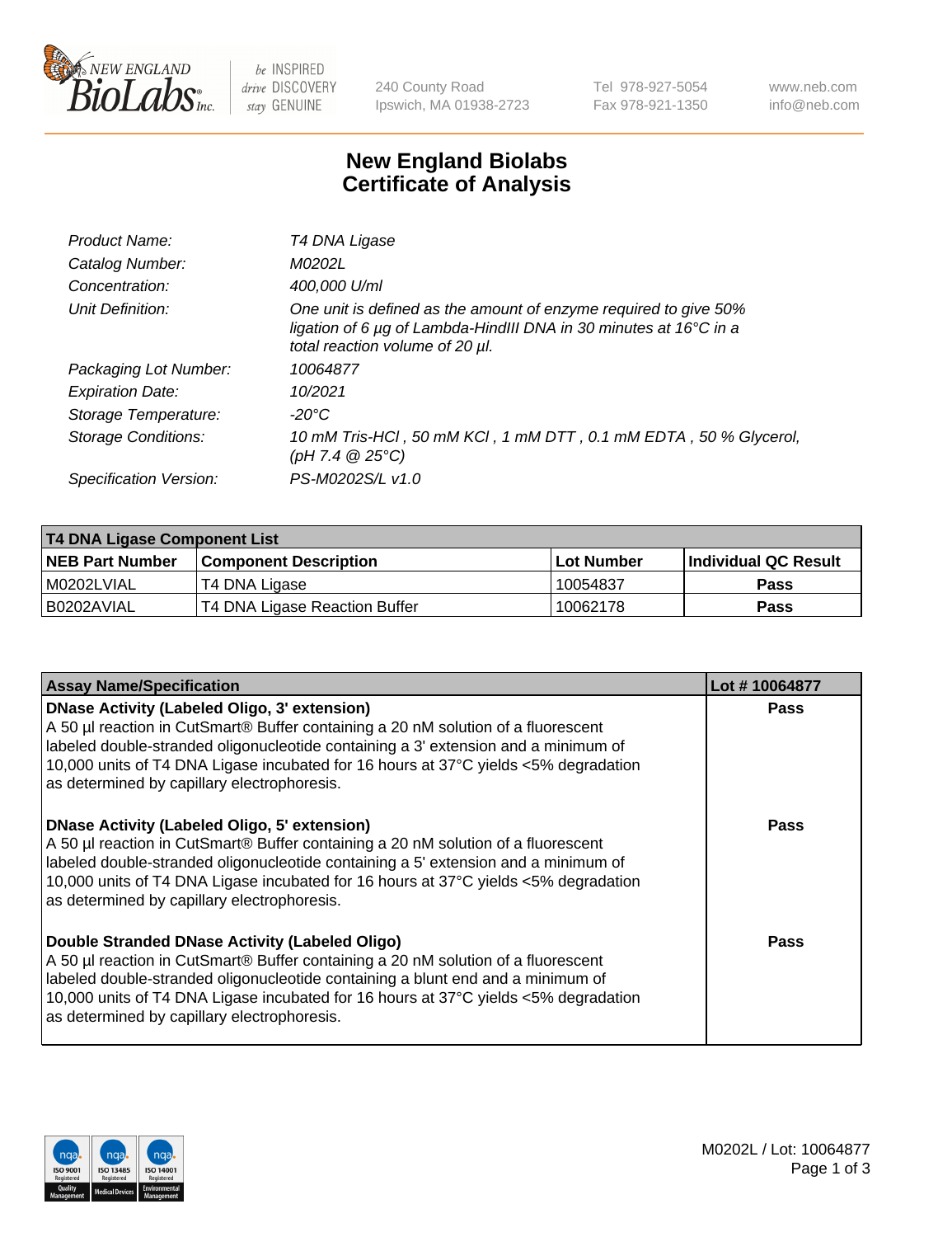

be INSPIRED drive DISCOVERY stay GENUINE

240 County Road Ipswich, MA 01938-2723 Tel 978-927-5054 Fax 978-921-1350 www.neb.com info@neb.com

## **New England Biolabs Certificate of Analysis**

| Product Name:              | T4 DNA Ligase                                                                                                                                                            |
|----------------------------|--------------------------------------------------------------------------------------------------------------------------------------------------------------------------|
| Catalog Number:            | M0202L                                                                                                                                                                   |
| Concentration:             | 400,000 U/ml                                                                                                                                                             |
| Unit Definition:           | One unit is defined as the amount of enzyme required to give 50%<br>ligation of 6 µg of Lambda-HindIII DNA in 30 minutes at 16°C in a<br>total reaction volume of 20 µl. |
| Packaging Lot Number:      | 10064877                                                                                                                                                                 |
| <b>Expiration Date:</b>    | 10/2021                                                                                                                                                                  |
| Storage Temperature:       | -20°C                                                                                                                                                                    |
| <b>Storage Conditions:</b> | 10 mM Tris-HCl, 50 mM KCl, 1 mM DTT, 0.1 mM EDTA, 50 % Glycerol,<br>(pH 7.4 $@25°C$ )                                                                                    |
| Specification Version:     | PS-M0202S/L v1.0                                                                                                                                                         |

| T4 DNA Ligase Component List |                               |              |                             |  |
|------------------------------|-------------------------------|--------------|-----------------------------|--|
| <b>NEB Part Number</b>       | <b>Component Description</b>  | l Lot Number | <b>Individual QC Result</b> |  |
| M0202LVIAL                   | T4 DNA Ligase                 | 10054837     | <b>Pass</b>                 |  |
| I B0202AVIAL                 | T4 DNA Ligase Reaction Buffer | 10062178     | <b>Pass</b>                 |  |

| <b>Assay Name/Specification</b>                                                                                                                                                                                                                                                                                                                               | Lot #10064877 |
|---------------------------------------------------------------------------------------------------------------------------------------------------------------------------------------------------------------------------------------------------------------------------------------------------------------------------------------------------------------|---------------|
| DNase Activity (Labeled Oligo, 3' extension)<br>A 50 µl reaction in CutSmart® Buffer containing a 20 nM solution of a fluorescent<br>labeled double-stranded oligonucleotide containing a 3' extension and a minimum of<br>10,000 units of T4 DNA Ligase incubated for 16 hours at 37°C yields <5% degradation<br>as determined by capillary electrophoresis. | <b>Pass</b>   |
| DNase Activity (Labeled Oligo, 5' extension)<br>A 50 µl reaction in CutSmart® Buffer containing a 20 nM solution of a fluorescent<br>labeled double-stranded oligonucleotide containing a 5' extension and a minimum of<br>10,000 units of T4 DNA Ligase incubated for 16 hours at 37°C yields <5% degradation<br>as determined by capillary electrophoresis. | <b>Pass</b>   |
| Double Stranded DNase Activity (Labeled Oligo)<br>A 50 µl reaction in CutSmart® Buffer containing a 20 nM solution of a fluorescent<br>abeled double-stranded oligonucleotide containing a blunt end and a minimum of<br>10,000 units of T4 DNA Ligase incubated for 16 hours at 37°C yields <5% degradation<br>as determined by capillary electrophoresis.   | Pass          |

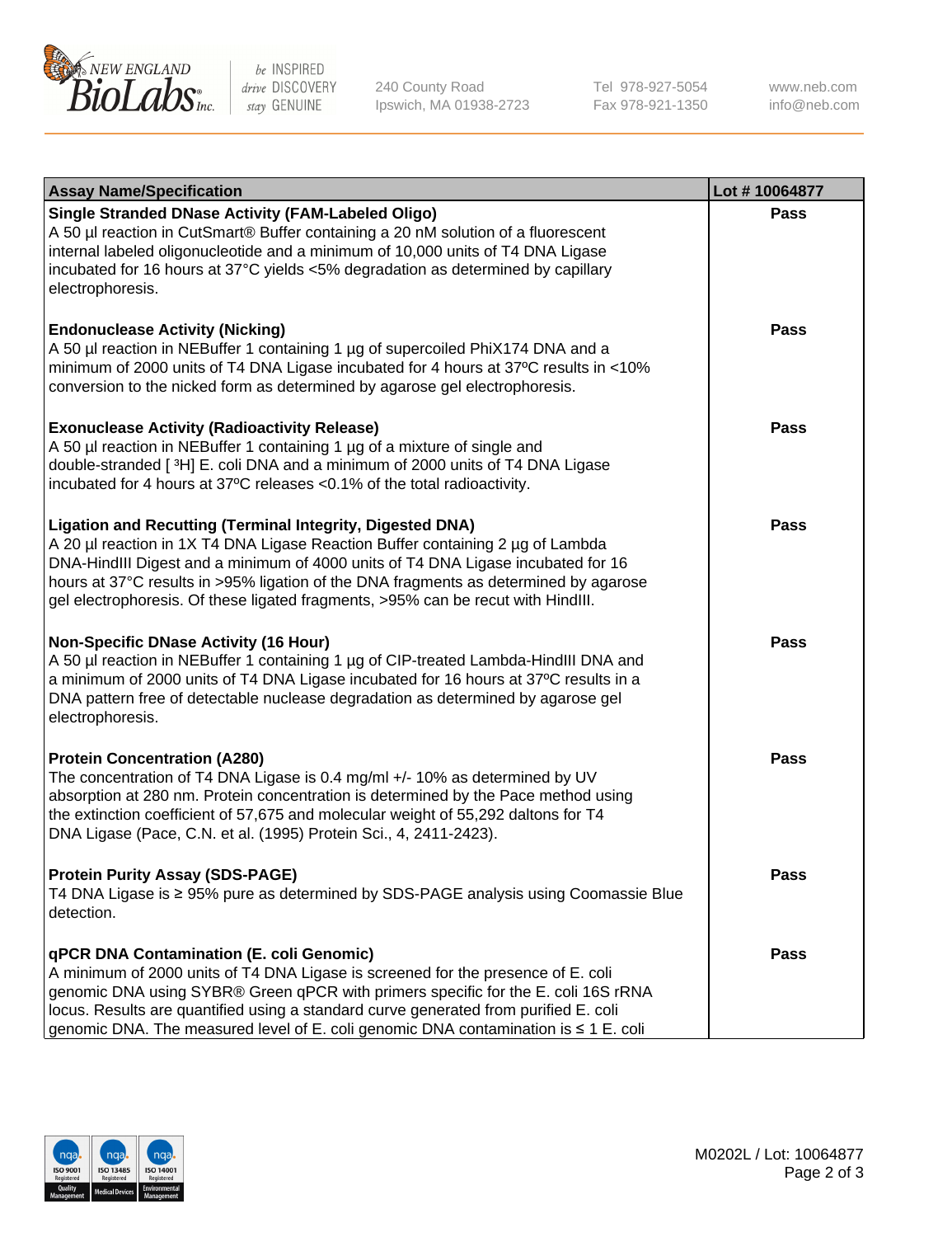

be INSPIRED drive DISCOVERY stay GENUINE

240 County Road Ipswich, MA 01938-2723 Tel 978-927-5054 Fax 978-921-1350

www.neb.com info@neb.com

| <b>Assay Name/Specification</b>                                                                                                                                                                                                                                                                                                                                                                                    | Lot #10064877 |
|--------------------------------------------------------------------------------------------------------------------------------------------------------------------------------------------------------------------------------------------------------------------------------------------------------------------------------------------------------------------------------------------------------------------|---------------|
| <b>Single Stranded DNase Activity (FAM-Labeled Oligo)</b><br>A 50 µl reaction in CutSmart® Buffer containing a 20 nM solution of a fluorescent<br>internal labeled oligonucleotide and a minimum of 10,000 units of T4 DNA Ligase<br>incubated for 16 hours at 37°C yields <5% degradation as determined by capillary<br>electrophoresis.                                                                          | <b>Pass</b>   |
| <b>Endonuclease Activity (Nicking)</b><br>A 50 µl reaction in NEBuffer 1 containing 1 µg of supercoiled PhiX174 DNA and a<br>minimum of 2000 units of T4 DNA Ligase incubated for 4 hours at 37°C results in <10%<br>conversion to the nicked form as determined by agarose gel electrophoresis.                                                                                                                   | Pass          |
| <b>Exonuclease Activity (Radioactivity Release)</b><br>A 50 µl reaction in NEBuffer 1 containing 1 µg of a mixture of single and<br>double-stranded [3H] E. coli DNA and a minimum of 2000 units of T4 DNA Ligase<br>incubated for 4 hours at 37°C releases <0.1% of the total radioactivity.                                                                                                                      | <b>Pass</b>   |
| <b>Ligation and Recutting (Terminal Integrity, Digested DNA)</b><br>A 20 µl reaction in 1X T4 DNA Ligase Reaction Buffer containing 2 µg of Lambda<br>DNA-HindIII Digest and a minimum of 4000 units of T4 DNA Ligase incubated for 16<br>hours at 37°C results in >95% ligation of the DNA fragments as determined by agarose<br>gel electrophoresis. Of these ligated fragments, >95% can be recut with HindIII. | <b>Pass</b>   |
| <b>Non-Specific DNase Activity (16 Hour)</b><br>A 50 µl reaction in NEBuffer 1 containing 1 µg of CIP-treated Lambda-HindIII DNA and<br>a minimum of 2000 units of T4 DNA Ligase incubated for 16 hours at 37°C results in a<br>DNA pattern free of detectable nuclease degradation as determined by agarose gel<br>electrophoresis.                                                                               | Pass          |
| <b>Protein Concentration (A280)</b><br>The concentration of T4 DNA Ligase is 0.4 mg/ml +/- 10% as determined by UV<br>absorption at 280 nm. Protein concentration is determined by the Pace method using<br>the extinction coefficient of 57,675 and molecular weight of 55,292 daltons for T4<br>DNA Ligase (Pace, C.N. et al. (1995) Protein Sci., 4, 2411-2423).                                                | <b>Pass</b>   |
| <b>Protein Purity Assay (SDS-PAGE)</b><br>T4 DNA Ligase is ≥ 95% pure as determined by SDS-PAGE analysis using Coomassie Blue<br>detection.                                                                                                                                                                                                                                                                        | Pass          |
| qPCR DNA Contamination (E. coli Genomic)<br>A minimum of 2000 units of T4 DNA Ligase is screened for the presence of E. coli<br>genomic DNA using SYBR® Green qPCR with primers specific for the E. coli 16S rRNA<br>locus. Results are quantified using a standard curve generated from purified E. coli<br>genomic DNA. The measured level of E. coli genomic DNA contamination is ≤ 1 E. coli                   | Pass          |